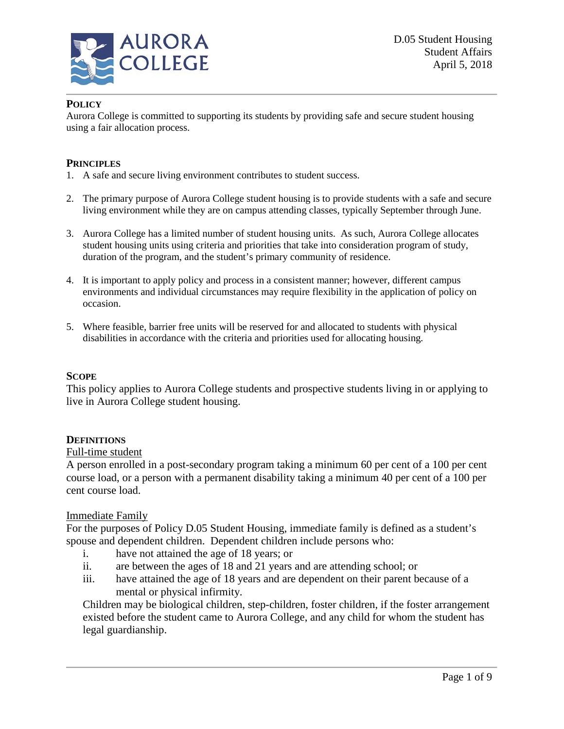

# **POLICY**

Aurora College is committed to supporting its students by providing safe and secure student housing using a fair allocation process.

#### **PRINCIPLES**

- 1. A safe and secure living environment contributes to student success.
- 2. The primary purpose of Aurora College student housing is to provide students with a safe and secure living environment while they are on campus attending classes, typically September through June.
- 3. Aurora College has a limited number of student housing units. As such, Aurora College allocates student housing units using criteria and priorities that take into consideration program of study, duration of the program, and the student's primary community of residence.
- 4. It is important to apply policy and process in a consistent manner; however, different campus environments and individual circumstances may require flexibility in the application of policy on occasion.
- 5. Where feasible, barrier free units will be reserved for and allocated to students with physical disabilities in accordance with the criteria and priorities used for allocating housing.

## **SCOPE**

This policy applies to Aurora College students and prospective students living in or applying to live in Aurora College student housing.

## **DEFINITIONS**

#### Full-time student

A person enrolled in a post-secondary program taking a minimum 60 per cent of a 100 per cent course load, or a person with a permanent disability taking a minimum 40 per cent of a 100 per cent course load.

#### Immediate Family

For the purposes of Policy D.05 Student Housing, immediate family is defined as a student's spouse and dependent children. Dependent children include persons who:

- i. have not attained the age of 18 years; or
- ii. are between the ages of 18 and 21 years and are attending school; or
- iii. have attained the age of 18 years and are dependent on their parent because of a mental or physical infirmity.

Children may be biological children, step-children, foster children, if the foster arrangement existed before the student came to Aurora College, and any child for whom the student has legal guardianship.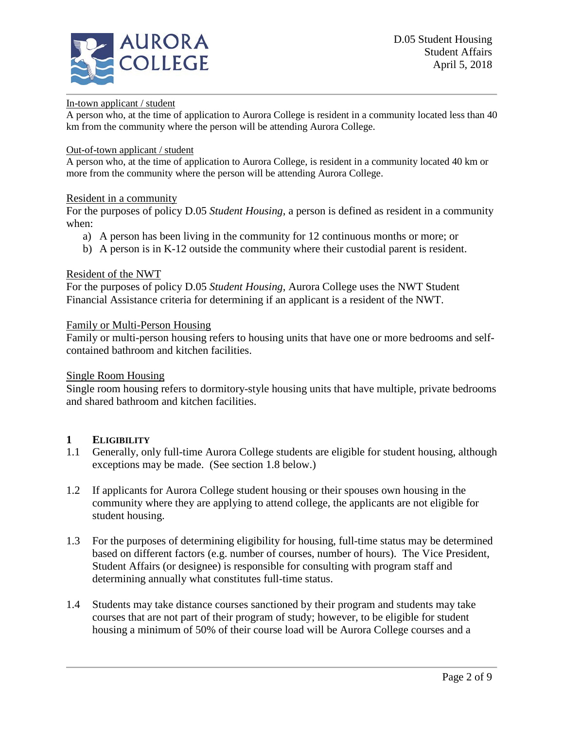

#### In-town applicant / student

A person who, at the time of application to Aurora College is resident in a community located less than 40 km from the community where the person will be attending Aurora College.

#### Out-of-town applicant / student

A person who, at the time of application to Aurora College, is resident in a community located 40 km or more from the community where the person will be attending Aurora College.

#### Resident in a community

For the purposes of policy D.05 *Student Housing*, a person is defined as resident in a community when:

- a) A person has been living in the community for 12 continuous months or more; or
- b) A person is in K-12 outside the community where their custodial parent is resident.

#### Resident of the NWT

For the purposes of policy D.05 *Student Housing*, Aurora College uses the NWT Student Financial Assistance criteria for determining if an applicant is a resident of the NWT.

#### Family or Multi-Person Housing

Family or multi-person housing refers to housing units that have one or more bedrooms and selfcontained bathroom and kitchen facilities.

#### Single Room Housing

Single room housing refers to dormitory-style housing units that have multiple, private bedrooms and shared bathroom and kitchen facilities.

# **1 ELIGIBILITY**<br>**1.1 Generally**, on

- 1.1 Generally, only full-time Aurora College students are eligible for student housing, although exceptions may be made. (See section 1.8 below.)
- 1.2 If applicants for Aurora College student housing or their spouses own housing in the community where they are applying to attend college, the applicants are not eligible for student housing.
- 1.3 For the purposes of determining eligibility for housing, full-time status may be determined based on different factors (e.g. number of courses, number of hours). The Vice President, Student Affairs (or designee) is responsible for consulting with program staff and determining annually what constitutes full-time status.
- 1.4 Students may take distance courses sanctioned by their program and students may take courses that are not part of their program of study; however, to be eligible for student housing a minimum of 50% of their course load will be Aurora College courses and a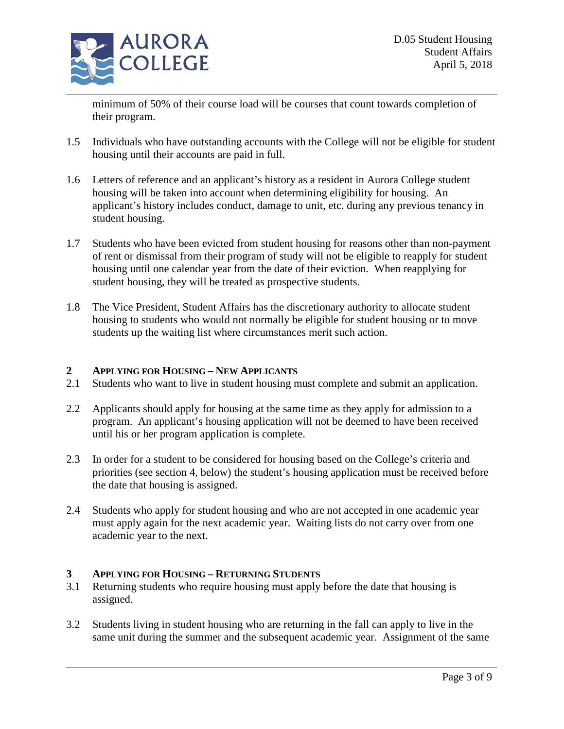

minimum of 50% of their course load will be courses that count towards completion of their program.

- 1.5 Individuals who have outstanding accounts with the College will not be eligible for student housing until their accounts are paid in full.
- 1.6 Letters of reference and an applicant's history as a resident in Aurora College student housing will be taken into account when determining eligibility for housing. An applicant's history includes conduct, damage to unit, etc. during any previous tenancy in student housing.
- 1.7 Students who have been evicted from student housing for reasons other than non-payment of rent or dismissal from their program of study will not be eligible to reapply for student housing until one calendar year from the date of their eviction. When reapplying for student housing, they will be treated as prospective students.
- 1.8 The Vice President, Student Affairs has the discretionary authority to allocate student housing to students who would not normally be eligible for student housing or to move students up the waiting list where circumstances merit such action.

## **2 APPLYING FOR HOUSING – NEW APPLICANTS**

- 2.1 Students who want to live in student housing must complete and submit an application.
- 2.2 Applicants should apply for housing at the same time as they apply for admission to a program. An applicant's housing application will not be deemed to have been received until his or her program application is complete.
- 2.3 In order for a student to be considered for housing based on the College's criteria and priorities (see section 4, below) the student's housing application must be received before the date that housing is assigned.
- 2.4 Students who apply for student housing and who are not accepted in one academic year must apply again for the next academic year. Waiting lists do not carry over from one academic year to the next.

## **3 APPLYING FOR HOUSING – RETURNING STUDENTS**

- 3.1 Returning students who require housing must apply before the date that housing is assigned.
- 3.2 Students living in student housing who are returning in the fall can apply to live in the same unit during the summer and the subsequent academic year. Assignment of the same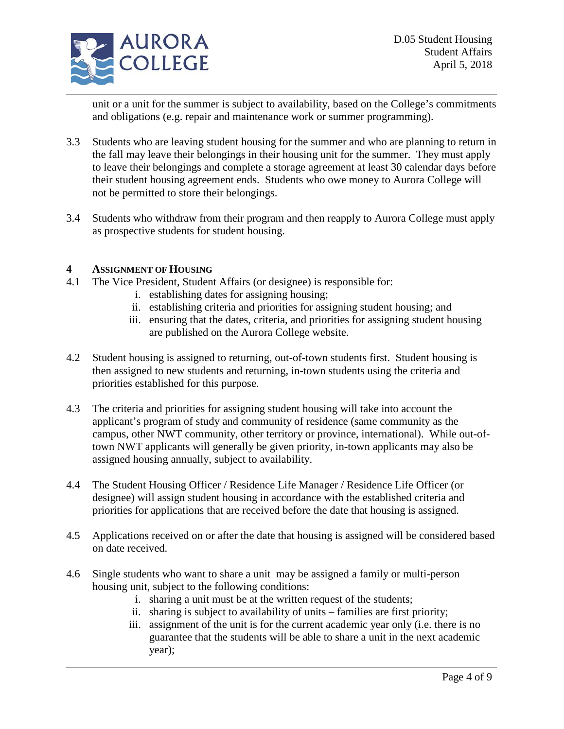

unit or a unit for the summer is subject to availability, based on the College's commitments and obligations (e.g. repair and maintenance work or summer programming).

- 3.3 Students who are leaving student housing for the summer and who are planning to return in the fall may leave their belongings in their housing unit for the summer. They must apply to leave their belongings and complete a storage agreement at least 30 calendar days before their student housing agreement ends. Students who owe money to Aurora College will not be permitted to store their belongings.
- 3.4 Students who withdraw from their program and then reapply to Aurora College must apply as prospective students for student housing.

## **4 ASSIGNMENT OF HOUSING**

- 4.1 The Vice President, Student Affairs (or designee) is responsible for:
	- i. establishing dates for assigning housing;
	- ii. establishing criteria and priorities for assigning student housing; and
	- iii. ensuring that the dates, criteria, and priorities for assigning student housing are published on the Aurora College website.
- 4.2 Student housing is assigned to returning, out-of-town students first. Student housing is then assigned to new students and returning, in-town students using the criteria and priorities established for this purpose.
- 4.3 The criteria and priorities for assigning student housing will take into account the applicant's program of study and community of residence (same community as the campus, other NWT community, other territory or province, international). While out-oftown NWT applicants will generally be given priority, in-town applicants may also be assigned housing annually, subject to availability.
- 4.4 The Student Housing Officer / Residence Life Manager / Residence Life Officer (or designee) will assign student housing in accordance with the established criteria and priorities for applications that are received before the date that housing is assigned.
- 4.5 Applications received on or after the date that housing is assigned will be considered based on date received.
- 4.6 Single students who want to share a unit may be assigned a family or multi-person housing unit, subject to the following conditions:
	- i. sharing a unit must be at the written request of the students;
	- ii. sharing is subject to availability of units families are first priority;
	- iii. assignment of the unit is for the current academic year only (i.e. there is no guarantee that the students will be able to share a unit in the next academic year);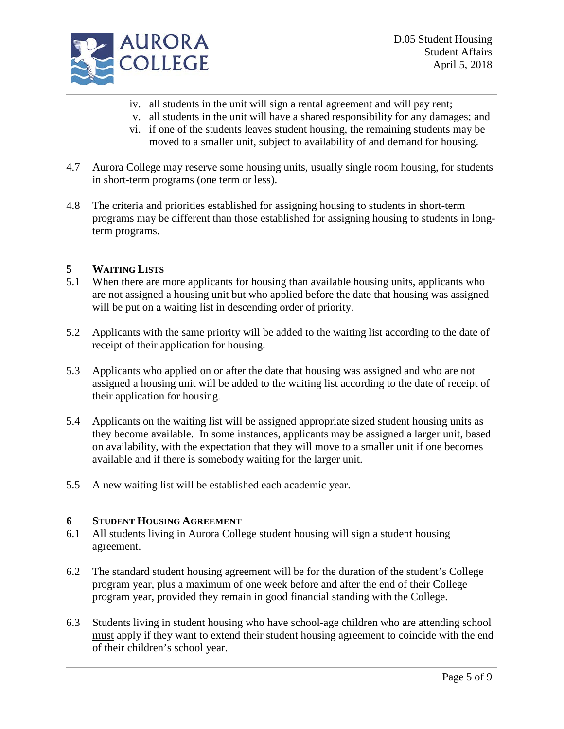

- iv. all students in the unit will sign a rental agreement and will pay rent;
- v. all students in the unit will have a shared responsibility for any damages; and
- vi. if one of the students leaves student housing, the remaining students may be moved to a smaller unit, subject to availability of and demand for housing.
- 4.7 Aurora College may reserve some housing units, usually single room housing, for students in short-term programs (one term or less).
- 4.8 The criteria and priorities established for assigning housing to students in short-term programs may be different than those established for assigning housing to students in longterm programs.

# **5 WAITING LISTS**

- 5.1 When there are more applicants for housing than available housing units, applicants who are not assigned a housing unit but who applied before the date that housing was assigned will be put on a waiting list in descending order of priority.
- 5.2 Applicants with the same priority will be added to the waiting list according to the date of receipt of their application for housing.
- 5.3 Applicants who applied on or after the date that housing was assigned and who are not assigned a housing unit will be added to the waiting list according to the date of receipt of their application for housing.
- 5.4 Applicants on the waiting list will be assigned appropriate sized student housing units as they become available. In some instances, applicants may be assigned a larger unit, based on availability, with the expectation that they will move to a smaller unit if one becomes available and if there is somebody waiting for the larger unit.
- 5.5 A new waiting list will be established each academic year.

# **6 STUDENT HOUSING AGREEMENT**

- 6.1 All students living in Aurora College student housing will sign a student housing agreement.
- 6.2 The standard student housing agreement will be for the duration of the student's College program year, plus a maximum of one week before and after the end of their College program year, provided they remain in good financial standing with the College.
- 6.3 Students living in student housing who have school-age children who are attending school must apply if they want to extend their student housing agreement to coincide with the end of their children's school year.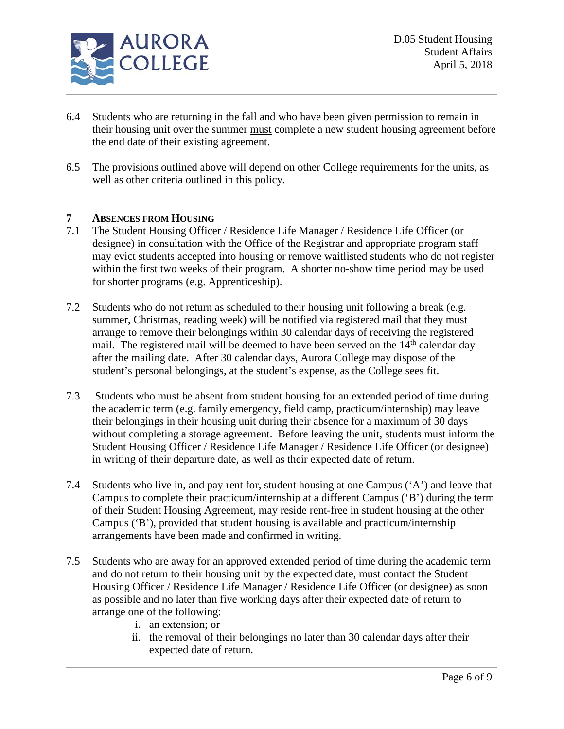

- 6.4 Students who are returning in the fall and who have been given permission to remain in their housing unit over the summer must complete a new student housing agreement before the end date of their existing agreement.
- 6.5 The provisions outlined above will depend on other College requirements for the units, as well as other criteria outlined in this policy.

# **7 ABSENCES FROM HOUSING**

- 7.1 The Student Housing Officer / Residence Life Manager / Residence Life Officer (or designee) in consultation with the Office of the Registrar and appropriate program staff may evict students accepted into housing or remove waitlisted students who do not register within the first two weeks of their program. A shorter no-show time period may be used for shorter programs (e.g. Apprenticeship).
- 7.2 Students who do not return as scheduled to their housing unit following a break (e.g. summer, Christmas, reading week) will be notified via registered mail that they must arrange to remove their belongings within 30 calendar days of receiving the registered mail. The registered mail will be deemed to have been served on the  $14<sup>th</sup>$  calendar day after the mailing date. After 30 calendar days, Aurora College may dispose of the student's personal belongings, at the student's expense, as the College sees fit.
- 7.3 Students who must be absent from student housing for an extended period of time during the academic term (e.g. family emergency, field camp, practicum/internship) may leave their belongings in their housing unit during their absence for a maximum of 30 days without completing a storage agreement. Before leaving the unit, students must inform the Student Housing Officer / Residence Life Manager / Residence Life Officer (or designee) in writing of their departure date, as well as their expected date of return.
- 7.4 Students who live in, and pay rent for, student housing at one Campus ('A') and leave that Campus to complete their practicum/internship at a different Campus ('B') during the term of their Student Housing Agreement, may reside rent-free in student housing at the other Campus ('B'), provided that student housing is available and practicum/internship arrangements have been made and confirmed in writing.
- 7.5 Students who are away for an approved extended period of time during the academic term and do not return to their housing unit by the expected date, must contact the Student Housing Officer / Residence Life Manager / Residence Life Officer (or designee) as soon as possible and no later than five working days after their expected date of return to arrange one of the following:
	- i. an extension; or
	- ii. the removal of their belongings no later than 30 calendar days after their expected date of return.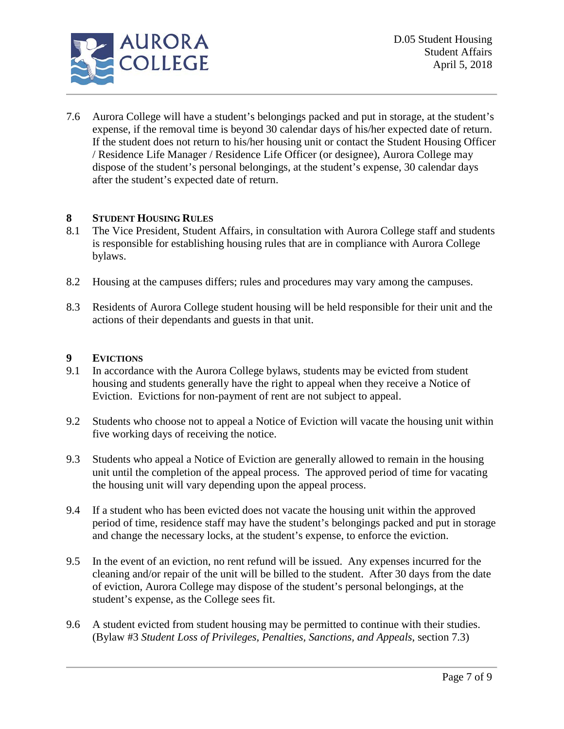

7.6 Aurora College will have a student's belongings packed and put in storage, at the student's expense, if the removal time is beyond 30 calendar days of his/her expected date of return. If the student does not return to his/her housing unit or contact the Student Housing Officer / Residence Life Manager / Residence Life Officer (or designee), Aurora College may dispose of the student's personal belongings, at the student's expense, 30 calendar days after the student's expected date of return.

# **8 STUDENT HOUSING RULES**

- 8.1 The Vice President, Student Affairs, in consultation with Aurora College staff and students is responsible for establishing housing rules that are in compliance with Aurora College bylaws.
- 8.2 Housing at the campuses differs; rules and procedures may vary among the campuses.
- 8.3 Residents of Aurora College student housing will be held responsible for their unit and the actions of their dependants and guests in that unit.

#### **9 EVICTIONS**

- 9.1 In accordance with the Aurora College bylaws, students may be evicted from student housing and students generally have the right to appeal when they receive a Notice of Eviction. Evictions for non-payment of rent are not subject to appeal.
- 9.2 Students who choose not to appeal a Notice of Eviction will vacate the housing unit within five working days of receiving the notice.
- 9.3 Students who appeal a Notice of Eviction are generally allowed to remain in the housing unit until the completion of the appeal process. The approved period of time for vacating the housing unit will vary depending upon the appeal process.
- 9.4 If a student who has been evicted does not vacate the housing unit within the approved period of time, residence staff may have the student's belongings packed and put in storage and change the necessary locks, at the student's expense, to enforce the eviction.
- 9.5 In the event of an eviction, no rent refund will be issued. Any expenses incurred for the cleaning and/or repair of the unit will be billed to the student. After 30 days from the date of eviction, Aurora College may dispose of the student's personal belongings, at the student's expense, as the College sees fit.
- 9.6 A student evicted from student housing may be permitted to continue with their studies. (Bylaw #3 *Student Loss of Privileges, Penalties, Sanctions, and Appeals*, section 7.3)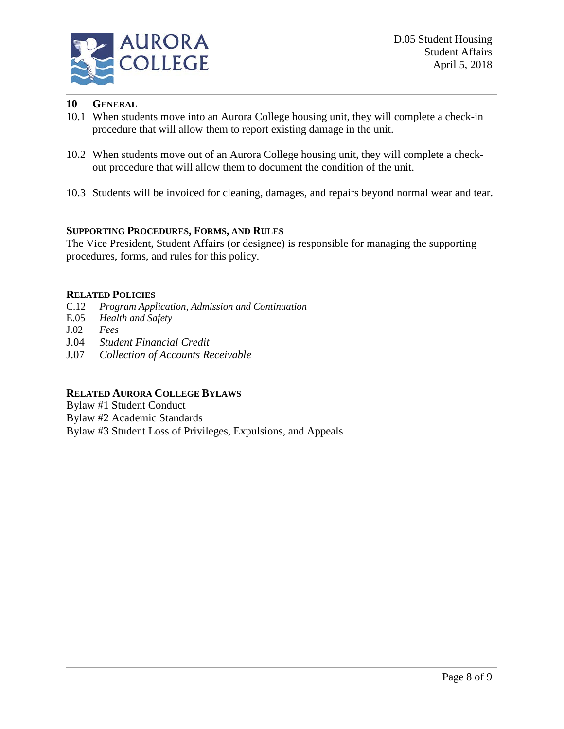

# **10 GENERAL**

- 10.1 When students move into an Aurora College housing unit, they will complete a check-in procedure that will allow them to report existing damage in the unit.
- 10.2 When students move out of an Aurora College housing unit, they will complete a checkout procedure that will allow them to document the condition of the unit.
- 10.3 Students will be invoiced for cleaning, damages, and repairs beyond normal wear and tear.

## **SUPPORTING PROCEDURES, FORMS, AND RULES**

The Vice President, Student Affairs (or designee) is responsible for managing the supporting procedures, forms, and rules for this policy.

## **RELATED POLICIES**

- C.12 *Program Application, Admission and Continuation*
- E.05 *Health and Safety*
- J.02 *Fees*
- J.04 *Student Financial Credit*
- J.07 *Collection of Accounts Receivable*

# **RELATED AURORA COLLEGE BYLAWS**

- Bylaw #1 Student Conduct
- Bylaw #2 Academic Standards
- Bylaw #3 Student Loss of Privileges, Expulsions, and Appeals